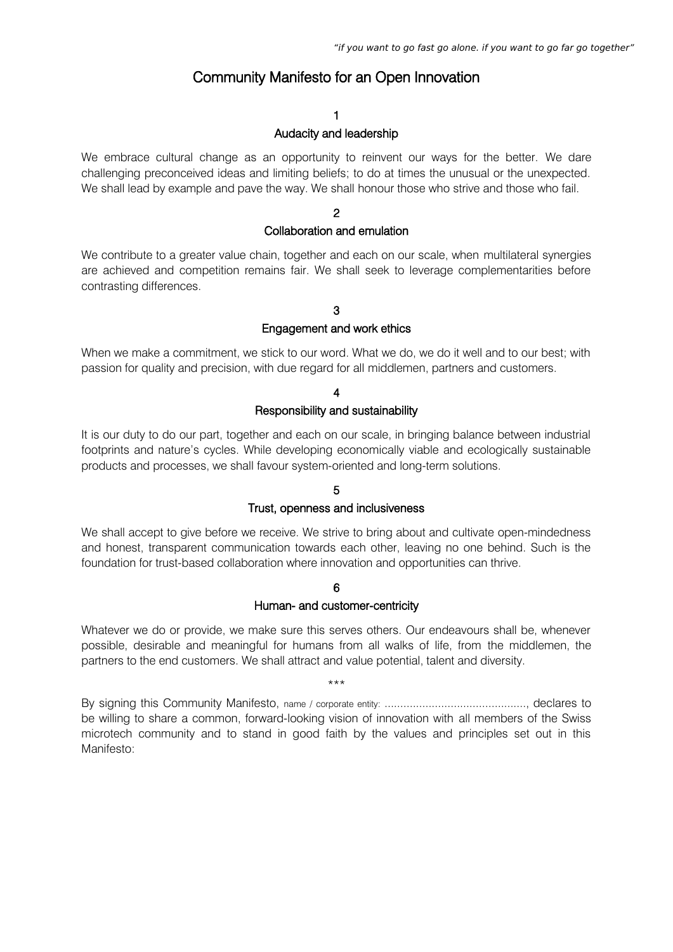# Community Manifesto for an Open Innovation

## 1

## Audacity and leadership

We embrace cultural change as an opportunity to reinvent our ways for the better. We dare challenging preconceived ideas and limiting beliefs; to do at times the unusual or the unexpected. We shall lead by example and pave the way. We shall honour those who strive and those who fail.

### 2

## Collaboration and emulation

We contribute to a greater value chain, together and each on our scale, when multilateral synergies are achieved and competition remains fair. We shall seek to leverage complementarities before contrasting differences.

## 3

#### Engagement and work ethics

When we make a commitment, we stick to our word. What we do, we do it well and to our best; with passion for quality and precision, with due regard for all middlemen, partners and customers.

#### 4

#### Responsibility and sustainability

It is our duty to do our part, together and each on our scale, in bringing balance between industrial footprints and nature's cycles. While developing economically viable and ecologically sustainable products and processes, we shall favour system-oriented and long-term solutions.

#### 5

#### Trust, openness and inclusiveness

We shall accept to give before we receive. We strive to bring about and cultivate open-mindedness and honest, transparent communication towards each other, leaving no one behind. Such is the foundation for trust-based collaboration where innovation and opportunities can thrive.

## 6

#### Human- and customer-centricity

Whatever we do or provide, we make sure this serves others. Our endeavours shall be, whenever possible, desirable and meaningful for humans from all walks of life, from the middlemen, the partners to the end customers. We shall attract and value potential, talent and diversity.

#### \*\*\*

By signing this Community Manifesto, name / corporate entity: ............................................., declares to be willing to share a common, forward-looking vision of innovation with all members of the Swiss microtech community and to stand in good faith by the values and principles set out in this Manifesto: